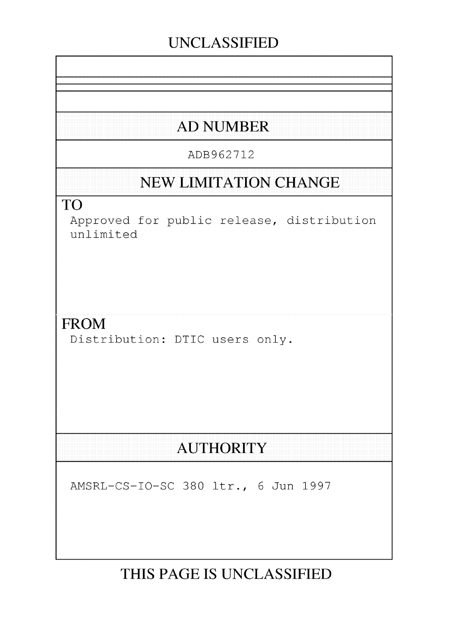# **UNCLASSIFIED**

# **AD NUMBER**

### ADB962712

## **NEW LIMITATION CHANGE**

### TO

Approved for public release, distribution unlimited

### FROM

Distribution: DTIC users only.

# **AUTHORITY**

AMSRL-CS-IO-SC 380 ltr., 6 Jun 1997

# **THIS PAGE IS UNCLASSIFIED**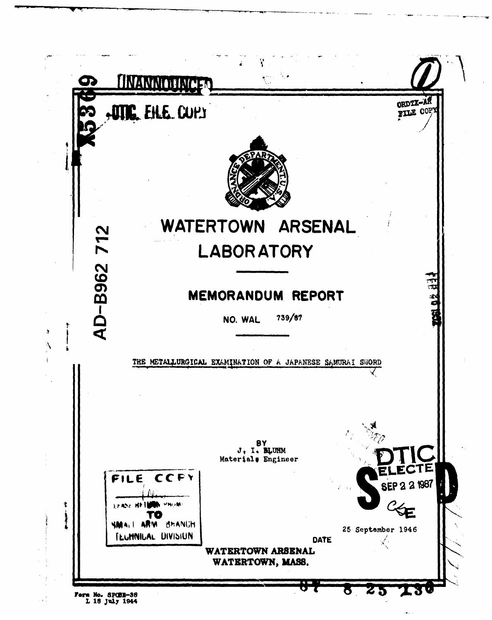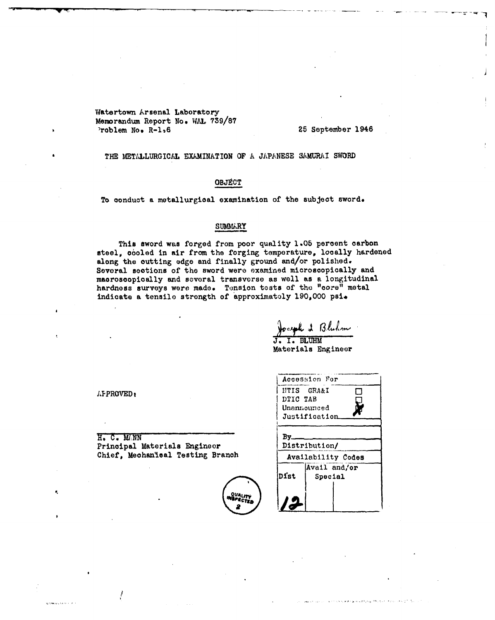Watertown Arsenal Laboratory Memorandum Report No. WAL 739/87 Problem No. R-1,6

25 September 1946

THE METALLURGICAL EXAMINATION OF A JAPANESE SAMURAI SWORD

#### OBJECT

To conduct a metallurgical examination of the subject sword.

#### SUMMARY

This sword was forged from poor quality 1.05 percent carbon steel, cooled in air from the forging temperature, locally hardened along the outting edge and finally ground and/or polished. Several sections of the sword were examined microscopically and macroscopically and several transverse as well as a longitudinal hardness surveys were made. Tension tests of the "core" metal indicate a tensile strength of approximately 190,000 psi-

 $\lambda$  Bluhm

Materials Engineer

AFPROVED:

أماديه ويديد

H. C. MAN Principal Materials Engineer Chief, Mechanical Testing Branch

| Accession For |                    |  |         |  |  |
|---------------|--------------------|--|---------|--|--|
| NTIS GRA&I    |                    |  |         |  |  |
| DTIC TAB      |                    |  |         |  |  |
| Unanmounced   |                    |  |         |  |  |
| Justification |                    |  |         |  |  |
| Distribution/ |                    |  |         |  |  |
| Bv.           |                    |  |         |  |  |
|               | Availability Codes |  |         |  |  |
|               | Avail and/or       |  |         |  |  |
| Dist          |                    |  | Special |  |  |
|               |                    |  |         |  |  |
|               |                    |  |         |  |  |
|               |                    |  |         |  |  |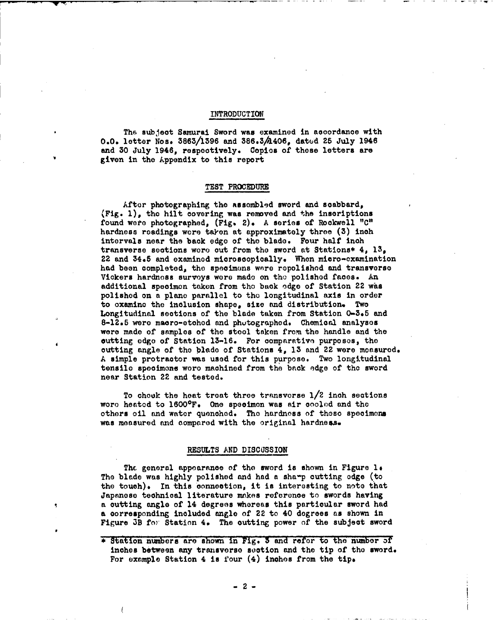#### INTRODUCTION

Tha subject Samurai Sword was examined in accordance with 0.0. letter Nos. 3863/1396 and 386.3/1406, dated 25 July 1946 and 30 July 1946, respectively. Copies of those letters are given in the Appendix to this report

#### TEST PROCEDURE

After photographing the assembled sword and scabbard, (Fig. **1),** the hilt covering was removed and the inscriptions found were photographed, (Fig. 2). A series of Rockwell "C" hardness readings wore taken at approximately three (3) inch intervals near the back **edgo** of the blade. Four halt inch transverse sections woro out from the sword at Stations\* 4, 13, 22 and 34.5 and examined microscopically. When micro-examination had been completed, the specimens were repolished and transverse Viokers hardness surveys wore made on the polished faces. An additional specimen taken from the back edge of Station 22 was polished on a plane parallel to tho longitudinal axis in order to examine the inclusion shape, size and distribution. Two Longitudinal sections of the blade taken from Station **0-3\*5** and 8-12.5 were macro-etchod and phutographed. Chemical analyses were made of samples of the stool taken from the handle and the cutting edge of Station 13-16. For oomparativo purposes, the cutting angle of the blade of Stations 4, **13** and 22 were measured. A simple protractor was used for this purpose. Two longitudinal tensile specimens wore machined from the back odge of the sword near Station 22 and tested.

To choek the heat treat three transverse  $1/2$  inch sections wore heated to 1600°F. One specimon was air cooled and the others oil and water quenched. The hardness of these specimens was measured and compared with the original hardness.

#### RESULTS AND DISCUSSION

The general appearance of the sword is shown in Figure 1. The blade was highly polished and had a sharp cutting edge (to the touch). In this connection, it is interesting to note that Japanese technical literature makes reference to swords having a cutting angle of 14 degrees whereas this particular sword had a corresponding included angle of 22 to 40 degrees as shown in Figure 3B for Station 4. The outting power of the subject sword

**<sup>\*</sup>** Station numbers are shown in Fig. 3 and refer to the number 3f inches between any transverse section and the tip of the sword. For example Station 4 is four  $(4)$  inches from the tip.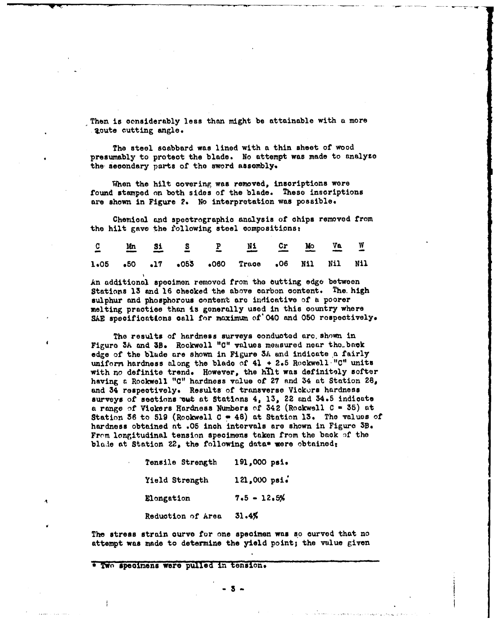Then is considerably less than might be attainable with a more . 2cute cutting angle.

The steel scabbard was lined with a thin sheet of wood presumably to protect the blade. No attempt was made to analyze the secondary parts of the sword assembly.

When the hilt covering was removed, inscriptions were found stamped on both sides of the blade. These inscriptions are shown in Figure 2. No interpretation was possible.

Chemical and spectrographic analysis of chips removed from the hilt gave the following steel compositions:

|  |  | $\underline{C} \qquad \underline{Mn} \qquad \underline{S1} \qquad \underline{S} \qquad \underline{P} \qquad \underline{M1} \qquad \underline{Cx} \qquad \underline{M0} \qquad \underline{Va} \qquad \underline{W}$ |  |  |
|--|--|--------------------------------------------------------------------------------------------------------------------------------------------------------------------------------------------------------------------|--|--|
|  |  | 1.05 .50 .17 .053 .060 Trace .06 Nil Nil Nil                                                                                                                                                                       |  |  |

An additional specimen removed from the butting edge between Stations 13 and 16 checked the above carbon content. The high sulphur and phosphorous content are indicative of a poorer melting practice than is generally used in this country where SAE specificattons call for maximum of' 040 and 050 rospeotively,

The results of hardness surveys conducted arc. shown in Figure 3A and 3B. Rockwell "C" values measured near the back edge of the blade are shown in Figure 3A and indicate a fairly uniform hardness along the blade of 41 **+** 2.5 Rockwell."C" units with no definite trend. However, the hilt was definitely softer having **a** Rockwell **"C"** hardness value of 27 and 34 at Station 28, and 34 respectively. Results of transverse Vickors hardness surveys of sections out at Stations 4, 13, 22 and 34.5 indicate **a** range **of** Vickers Hardness Numbers of 342 (Rockwell **C -** 35) at Station 36 to 519 (Rockwell C **o** 48) at Station 13. The values of hardness obtained at .05 inch intervals are shown in Figure 3B. From longitudinal tension specimens taken from the back of the blade at Station  $22<sub>s</sub>$  the following data\* were obtained:

| Tensile Strength  | 191,000 psi.  |  |  |  |
|-------------------|---------------|--|--|--|
| Yield Strength    | 121,000 psi.  |  |  |  |
| Elongation        | $7.5 - 12.5%$ |  |  |  |
| Reduction of Area | 31.4%         |  |  |  |

The stress strain curve for one specimen was so curved that no attempt was made to determine the yield point; the value given

\* Two specimens were pulled in tension.

**-3**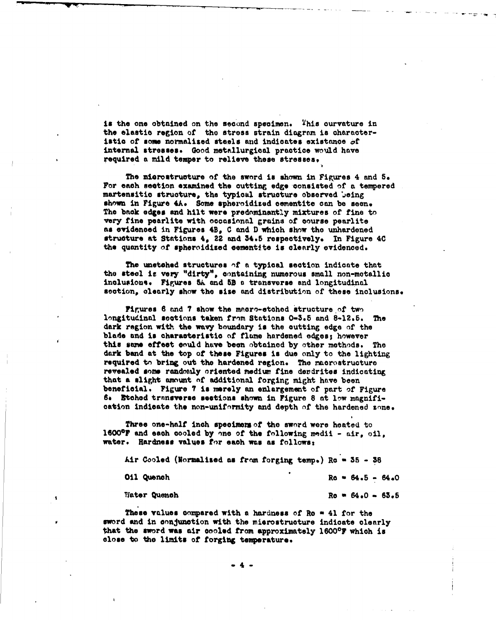is the one obtained on the second specimen. This curvature in the elastic region of the stress strain diagram is characteristic of some normalized steels and indicates existance  $\sigma$ f internal stresses. Good metallurgical practice would have required a mild temper to relieve these stresses,

The microstructure of the sword is shown in Figures 4 and 5. For each seotion examined the cutting edge consisted **of** a tempered martensitic structure, the typical structure observed being shown in Figure 4A. Some spheroidized cementite can be seen. The **back edges** and hilt were predominantly mixtures of fine to very fine pearlite with occasional grains of course pearlite **as** evidenced in Figures 4B. C and **D** which show the unhardened structure at Stations 4, 22 and 34.5 respectively. In Figure 4C the quantity of spheroidized cementite is clearly evidenced.

The unetched structures nf **a** typical section indicate that the steel is very "dirty", containing numerous small non-metallic inclusionse Figures **5k** and **5B <sup>a</sup>**transverse and longitudinal section, clearly show the size and distribution of these inclusions.

Figures 6 and 7 show the macro-etched structure of two longitudinal sections taken from Stations 0-3.5 and 8-12.5. The dark region with the wavy boundary is the cutting edge of the blade and is characteristic of flame hardened edges; however this same effect could have been obtained by other methods. The dark band at the top of these Figures is due only to the lighting required to bring out the hardened region. The macrostructure revealed some randotaly oriented mediuw fine derdrites indicating that a slight amount of additional forging might have been beneficial. Figure **?** is merely an enlargement of part of Figure **go** Etched trnnsverse seetions shown in Figure 8 at low magnification indicate the non-uniformity and depth of the hardened zone.

Three one-half inch specimers of the sword were heated to 16000F and each cooled by one of the following medii - air, oil, water. Hardness values for each was as follows:

Air Cooled (Normalised as from forging temp.) Re = 35 - 38  $011$  Quench  $R_0 = 64.5 - 64.0$ Water Quench Re 64.0 **63.5** 

These values compared with a hardness of Ro  $=$  41 for the sword and in onnJunction with the mierostruoture indicate clearly that the sword was air cooled from approximately 1600°F which is close to the limits of forging temperature.

 $\bullet$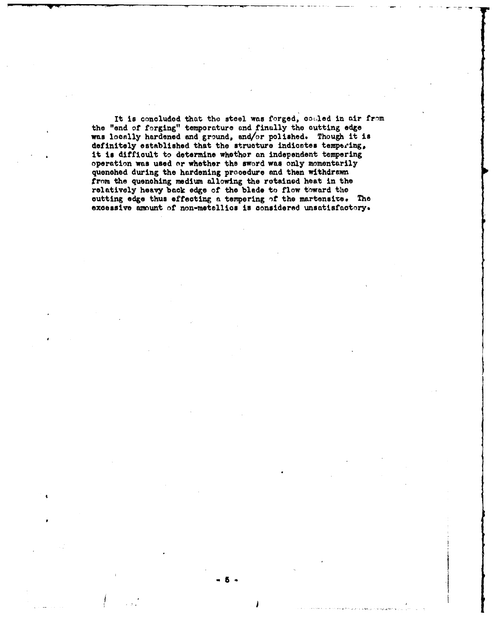It is concluded that the steel was forged, couled in air from the "end of forging" temporature and finally the cutting edge was locally hardened and ground, and/or polished. Though it is definitely established that the structure indicates tempering, it is difficult to determine whether an independent tempering operation was used or whether the sword was only momentarily quenched during the hardening procedure and then withdrawn trom the quenching medium allowing the retained heat in the relatively heavy back edge of the blede to flow toward the cutting edge thus effecting a tempering of the martensite. The excessive amount of non-metallics is considered unsatisfactory.

i 5I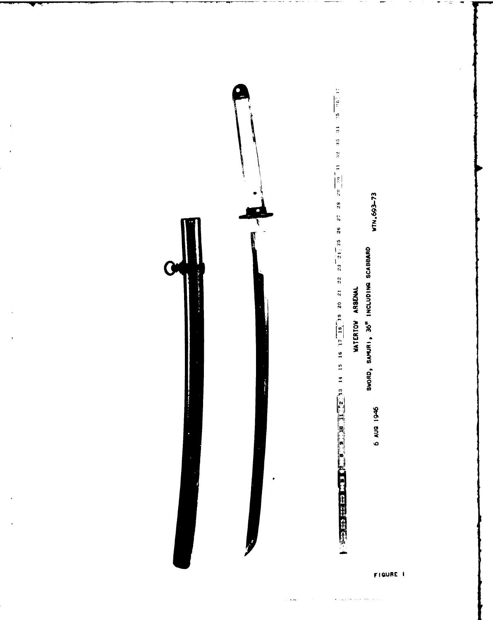

 $\ddotsc$ 

FIGURE 1

 $\mathbf{e}^{(i)}$  is a presentation of the  $\mathbf{e}^{(i)}$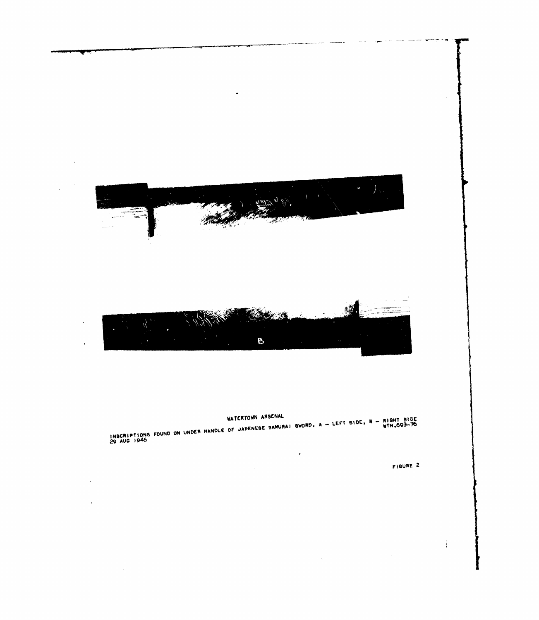

 $\bullet$ 

## WATERTOWN ARSENAL

INSCRIPTIONS FOUND ON UNDER HANDLE OF JAPENESE SAMURAI SWORD. A - LEFT SIDE, B - RIGHT SIDE<br>29 AUG 1946

 $\langle \cdot \rangle$ 

 $\hat{\vec{r}}$ 

FIGURE 2

4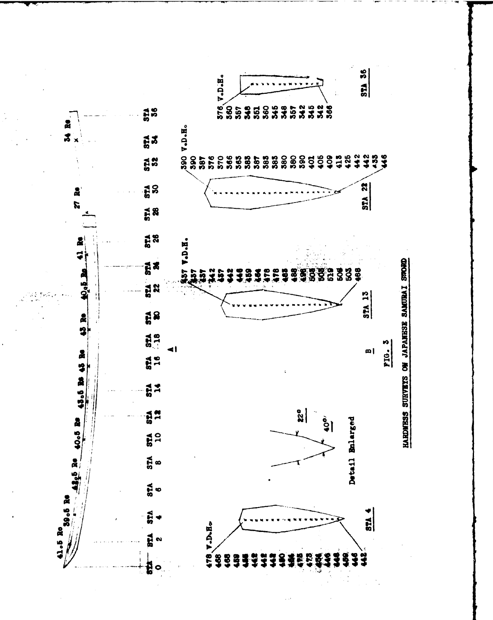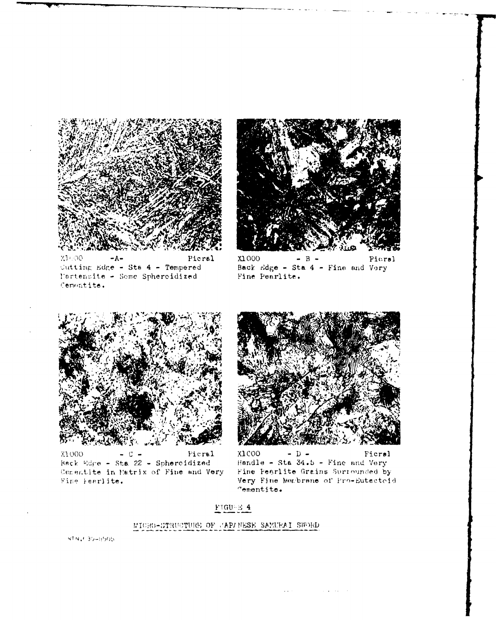





X1000  $B -$ Picral Back Edge - Sta 4 - Fine and Very Fine Pearlite.



X1000 Picral  $\mathcal{C}$ Back Edge - Sta 22 - Spheroidized Cenentite in Matrix of Fine and Very Fine Fearlite.



X1COO  $-$  D  $-$ Ficral Handle - Sta 34.5 - Fine and Very Fine Pearlite Grains Surrounded by Very Fine Membrane of Pro-Eutectoid  $<sub>rementite.</sub>$ </sub>

 $\mathcal{A}$  is a set of  $\mathcal{A}$  , and  $\mathcal{A}$  is a set of  $\mathcal{A}$  , and  $\mathcal{A}$ 

#### $\textbf{FIGU} \boxtimes \textbf{4}$

#### MICRO-STRUCTURE OF JAPANESE SAMURAI SWORD

 $WTN_4E$  39-8505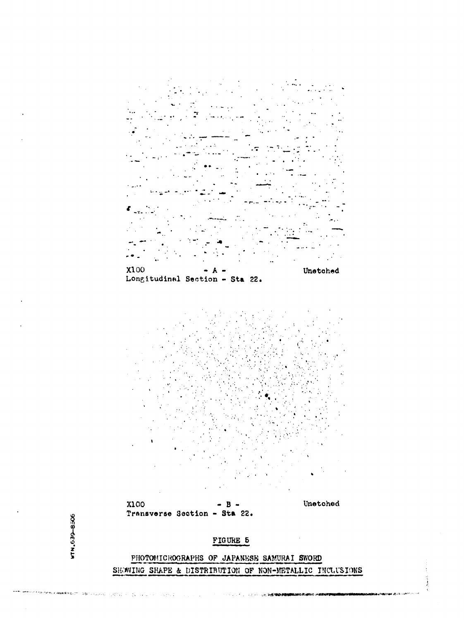

PHOTOMICROGRAPHS OF JAPANESE SAMURAI SWORD SHOWING SHAPE & DISTRIBUTION OF NON-METALLIC INCLUSIONS

الرواعية فيروده الأرا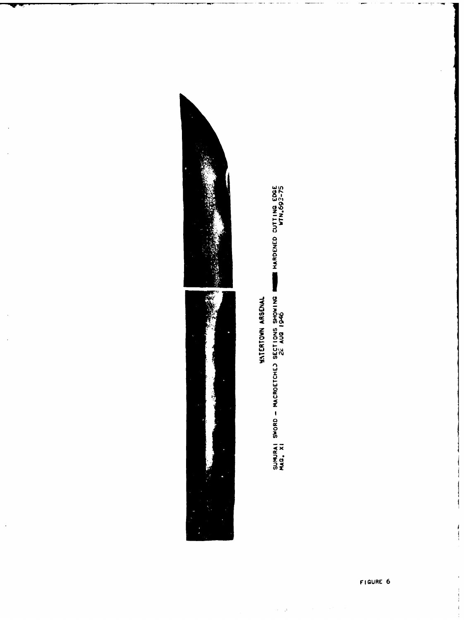

 $\ddot{\phantom{0}}$ 

**YATERTOWN ARSENAL** 

SUMURAI SWORD – MACROETCHEJ SECTIONS SHOWING **DENE HARD**ENED CUTTING EDGE<br>MAG, XI<br>MAG, XI

 $\epsilon=1$ 

 $\frac{1}{2}$ 

 $\begin{array}{c} \frac{1}{2} & \frac{1}{2} \\ \frac{1}{2} & \frac{1}{2} \\ \frac{1}{2} & \frac{1}{2} \end{array}$ 

 $\frac{1}{2}$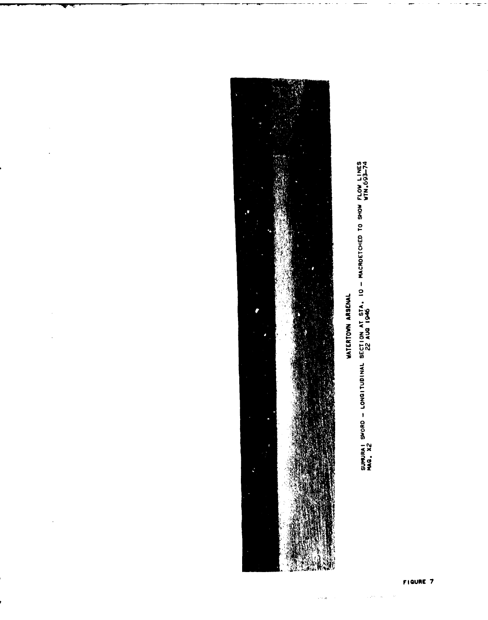

 $\hat{\boldsymbol{\beta}}$ 

SUMURAI SWORD - LONGITUBINAL SECTION AT STA, ID - MACROETCHED TO SHOW FLOW LINES<br>MAG, X2

 $\sim 10^{11}$  m  $^{-1}$  .

 $\hat{\mathcal{C}}\in\mathbb{R}$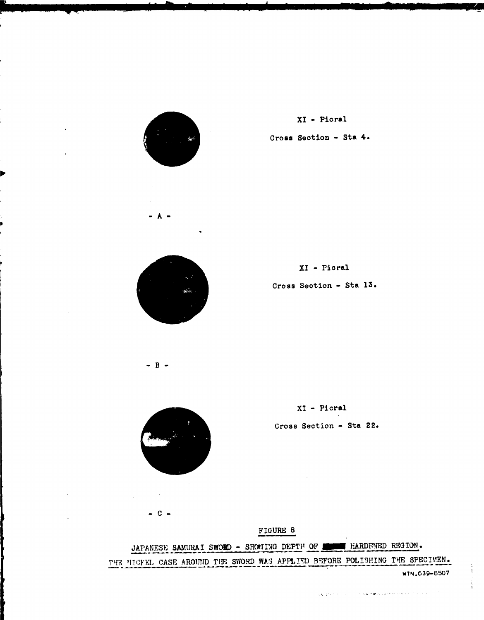

XI - Picral Cross Section - Sta 4.



 $R -$ 

 $XI - Picral$ 

Cross Section - Sta 13.

 $XI - Picral$ Cross Section - Sta 22.

 $\sim 10^{-1}$ 

 $C -$ 

FIGURE 8

JAPANESE SAMURAI SWORD - SHOWING DEPTH OF HERDENED REGION.

THE NICFEL CASE AROUND THE SWORD WAS APPLIED BEFORE POLISHING THE SPECIMEN.

WTN.639-8507

 $\label{eq:3.1} \langle \phi_{\alpha}(\mathbf{q})^{\dagger} \phi_{\alpha}^{\dagger}(\mathbf{r}) \rangle = \langle \phi_{\alpha}^{\dagger}(\mathbf{r}) \rangle = \langle \phi_{\alpha}^{\dagger}(\mathbf{r}) \phi_{\alpha}^{\dagger}(\mathbf{r}) + \mathbf{g}(\mathbf{r}) \rangle, \forall \mathbf{r}^{\dagger}(\mathbf{r}) \rangle = \langle \phi_{\alpha}^{\dagger}(\mathbf{r}) \phi_{\alpha}^{\dagger}(\mathbf{r}) + \mathbf{g}_{\alpha}^{\dagger}(\mathbf{r}) \phi_{\alpha}^{\dagger}(\mathbf{r}) \rangle$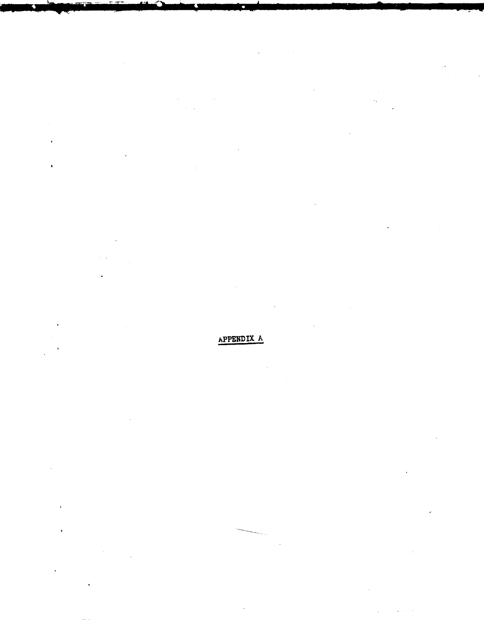### APPENDIX A

 $\bullet$ 

 $\cdot$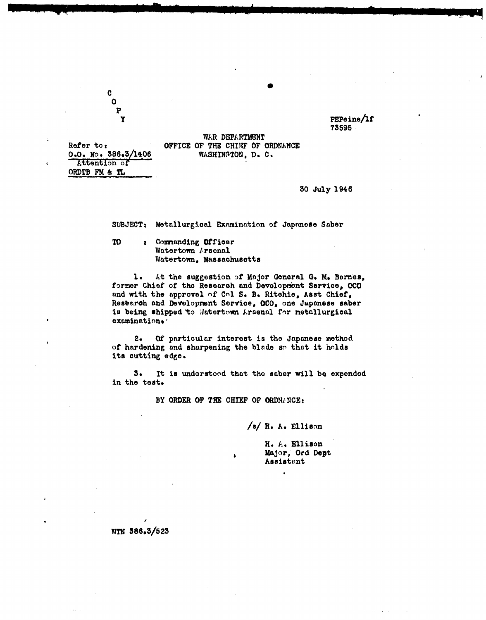PEPeine/1f 73595

WAR DEPARTMENT OFFICE OF THE CHIEF OF ORDNANCE WASHINGTON, D. C.

Refer to:  $0.0.$  No. 386.3/1406 Attention of ORDTB FM & TL

 $\mathbf C$  $\mathbf{o}$ P

Y

#### 30 July 1946

SUBJECT: Metallurgical Examination of Japanese Saber

**TO** : Commanding Officer Watertown Arsenal Watertown, Massachusetts

1. At the suggestion of Major General G. M. Barnes, former Chief of the Research and Development Service, OCO and with the approval of Col S. B. Ritchie, Asst Chief, Research and Development Service, OCO, one Japanese saber is being shipped to Matertown Arsenal for metallurgical examination.

 $2-$ Of particular interest is the Japanese method of hardening and sharpening the blade so that it holds its outting edge.

 $3.$ It is understood that the saber will be expended in the test.

BY ORDER OF THE CHIEF OF ORDNANCE:

/s/ H. A. Ellison

H. A. Ellison Major, Ord Dept Assistant

WTN 386.3/523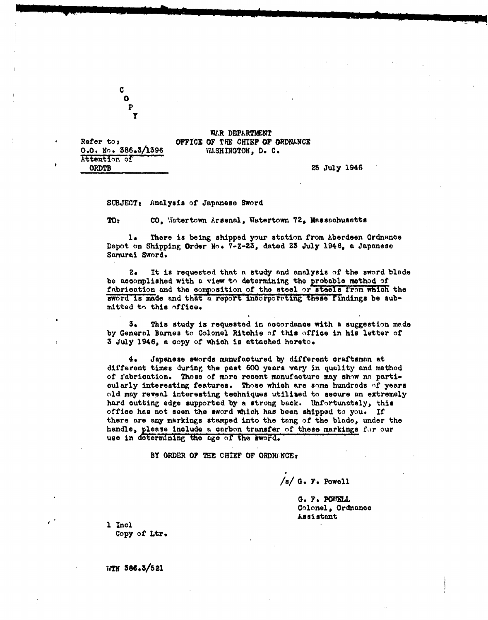C  $\mathbf{o}$ P

**Y**

Attention of ORDTB 25 July 1946

WAR DEPARTMENT Refer to: **OFFICE OF THE CHIEF OF ORDNANCE 0.0. NO. 386.!/1396** WxSHINGTON, **D.** C.

SUBJECT, Analysis of Japanese Sword

**TO: CO, Watertown Arsenal, Watertown 72, Massachusetts** 

There is being shipped your station from Aberdeen Ordnance Depot on Shipping Order No. 7-Z-23, dated 23 July 1946, a Japanese Samurai Sword.

2. It is requested that a study and analysis of the sword blade be accomplished with a view tn determining the probable method **of** fabrication and the composition of the steel or steels from which the sword is made and that a report incorporating these findings be submitted to this office.

3. This study is requested in aocordance with a suggestion made by General Barnes to Colonel Ritchie of this office in his letter of 3 July 1946, a copy of which is attached hereto.

4. Japanese swords manufactured by different craftsman at different times during the past 600 years vary in quality and method of fabrication. Those of more recent manufacture may show no partioularly interesting features. Those which are some hundreds of years old may reveal interesting techniques utilized to secure an extremely hard cutting edge supported by a strong back. Unfortunately, this office has not seen the sword which has been shipped to you. If there are any markings stamped into the tang of the blade, under the handle, pleaso include a carbon transfer of these markings for our use in determining the age of the sword.

BY ORDER OF THE CHIEF OF ORDNANCE:

/s/ **Go** Po Powell

G. F. POWELL Colonel, Ordnance Assistant

**1** Incl Copy of Ltr.

**WTN 386.3/521**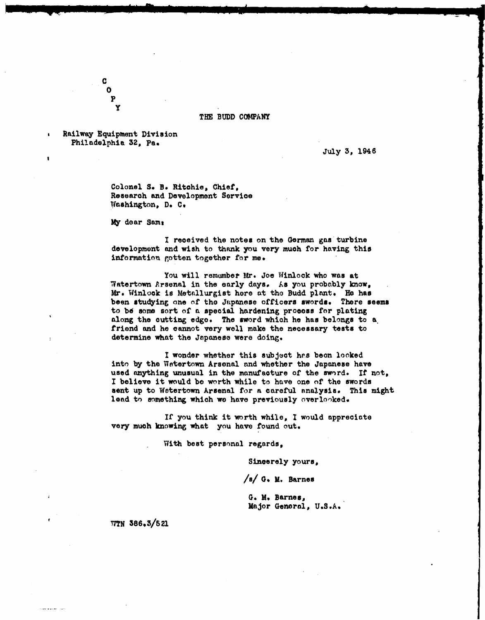#### THE BUDD COMPANY

Railway Equipment Division Philadelphia **32,** Pa.

C **P** Y

July 5, 1946

Colonel S. B. Ritchie, Chief, Research and Development Service Wlashington, **Do** C,

My dear Same

I received the notes on the German gas turbine development and wish to thank you very much for having this information gotten together for me.

You will remember Mr. Joe Winlock who was at Watertown Arsenal in the early days. As you probably know, Mr. Winlock is Metallurgist here at tho Budd plant. He has been studying one of the Japanese officers swords. There seems to **bd** some sort of a special hardening process for plating along the cutting edge. The sword which he has belongs to **a.** friend and he cannot very well make the necessary tests to determine what the Japanese were doing.

I wonder whether this subject has been looked into by the Wetertown Arsenal and whether the Japanese have used anything unusual in the manufacture of the sword. If not, I believe it would be worth while to have one of the swords sent up to Wetertown Arsenal for a careful analysis. This might lead to something which we have previously overlooked.

**If** you think it worth while, I would appreciate very much knowing what you have found out.

With best personal regards,

Sincerely yours,

/s/ **0. M.** Barnes

**G. He** Barnes, Major General, U.S.A.

**77TN** 38695/621

sam ara sea ciria